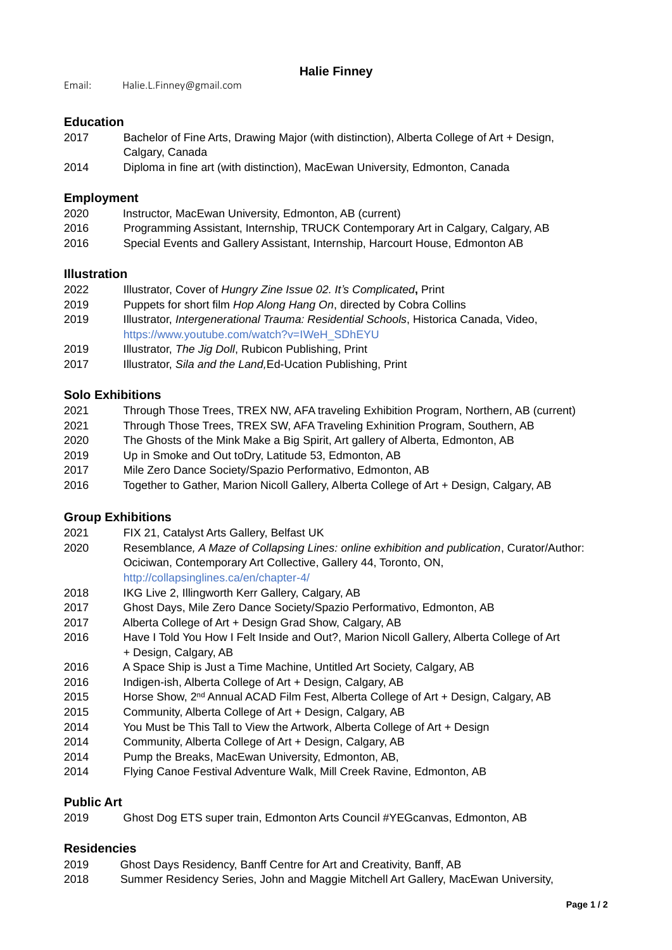## **Halie Finney**

Email: Halie.L.Finney@gmail.com

## **Education**

- 2017 Bachelor of Fine Arts, Drawing Major (with distinction), Alberta College of Art + Design, Calgary, Canada
- 2014 Diploma in fine art (with distinction), MacEwan University, Edmonton, Canada

# **Employment**

- 2020Instructor, MacEwan University, Edmonton, AB (current)
- 2016 Programming Assistant, Internship, TRUCK Contemporary Art in Calgary, Calgary, AB
- 2016 Special Events and Gallery Assistant, Internship, Harcourt House, Edmonton AB

# **Illustration**

- 2022 Illustrator, Cover of *Hungry Zine Issue 02. It's Complicated***,** Print
- 2019 Puppets for short film *Hop Along Hang On*, directed by Cobra Collins
- 2019 Illustrator, *Intergenerational Trauma: Residential Schools*, Historica Canada, Video, https://www.youtube.com/watch?v=IWeH\_SDhEYU
- 2019 Illustrator, *The Jig Doll*, Rubicon Publishing, Print
- 2017 Illustrator, *Sila and the Land,*Ed-Ucation Publishing, Print

# **Solo Exhibitions**

- 2021 Through Those Trees, TREX NW, AFA traveling Exhibition Program, Northern, AB (current)
- 2021 Through Those Trees, TREX SW, AFA Traveling Exhinition Program, Southern, AB
- 2020The Ghosts of the Mink Make a Big Spirit, Art gallery of Alberta, Edmonton, AB
- 2019 Up in Smoke and Out toDry, Latitude 53, Edmonton, AB
- 2017 Mile Zero Dance Society/Spazio Performativo, Edmonton, AB
- 2016 Together to Gather, Marion Nicoll Gallery, Alberta College of Art + Design, Calgary, AB

## **Group Exhibitions**

- 2021 FIX 21, Catalyst Arts Gallery, Belfast UK
- 2020 Resemblance*, A Maze of Collapsing Lines: online exhibition and publication*, Curator/Author: Ociciwan, Contemporary Art Collective, Gallery 44, Toronto, ON, http://collapsinglines.ca/en/chapter-4/
- 2018 IKG Live 2, Illingworth Kerr Gallery, Calgary, AB
- 2017 Ghost Days, Mile Zero Dance Society/Spazio Performativo, Edmonton, AB
- 2017 Alberta College of Art + Design Grad Show, Calgary, AB
- 2016 Have I Told You How I Felt Inside and Out?, Marion Nicoll Gallery, Alberta College of Art + Design, Calgary, AB
- 2016 A Space Ship is Just a Time Machine, Untitled Art Society, Calgary, AB
- 2016 Indigen-ish, Alberta College of Art + Design, Calgary, AB
- 2015 Horse Show, 2<sup>nd</sup> Annual ACAD Film Fest, Alberta College of Art + Design, Calgary, AB
- 2015 Community, Alberta College of Art + Design, Calgary, AB
- 2014 You Must be This Tall to View the Artwork, Alberta College of Art + Design
- 2014 Community, Alberta College of Art + Design, Calgary, AB
- 2014 Pump the Breaks, MacEwan University, Edmonton, AB,
- 2014 Flying Canoe Festival Adventure Walk, Mill Creek Ravine, Edmonton, AB

## **Public Art**

2019 Ghost Dog ETS super train, Edmonton Arts Council #YEGcanvas, Edmonton, AB

## **Residencies**

- 2019 Ghost Days Residency, Banff Centre for Art and Creativity, Banff, AB
- 2018 Summer Residency Series, John and Maggie Mitchell Art Gallery, MacEwan University,